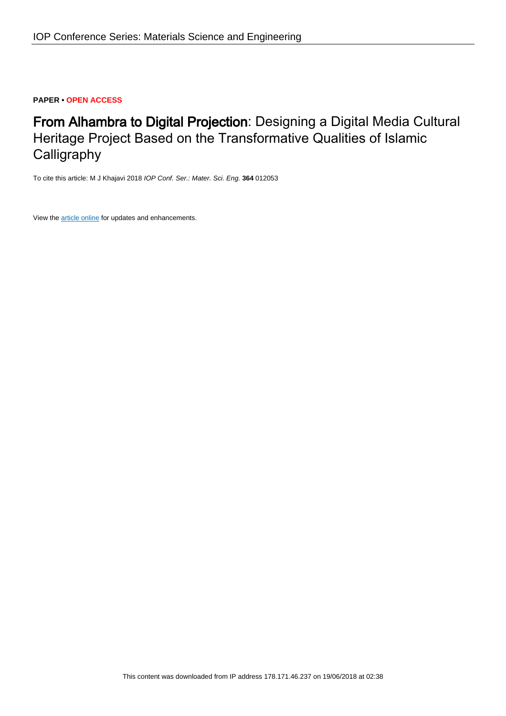### **PAPER • OPEN ACCESS**

# From Alhambra to Digital Projection: Designing a Digital Media Cultural Heritage Project Based on the Transformative Qualities of Islamic **Calligraphy**

To cite this article: M J Khajavi 2018 IOP Conf. Ser.: Mater. Sci. Eng. **364** 012053

View the [article online](https://doi.org/10.1088/1757-899X/364/1/012053) for updates and enhancements.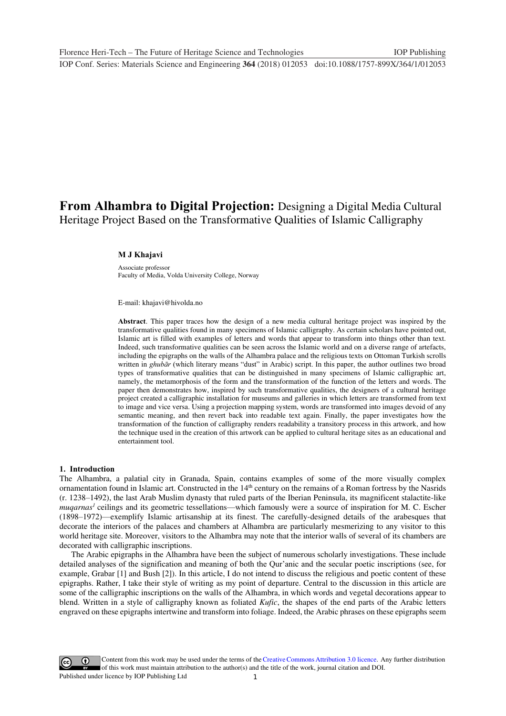## **From Alhambra to Digital Projection:** Designing a Digital Media Cultural Heritage Project Based on the Transformative Qualities of Islamic Calligraphy

#### **M J Khajavi**

Associate professor Faculty of Media, Volda University College, Norway

E-mail: khajavi@hivolda.no

**Abstract**. This paper traces how the design of a new media cultural heritage project was inspired by the transformative qualities found in many specimens of Islamic calligraphy. As certain scholars have pointed out, Islamic art is filled with examples of letters and words that appear to transform into things other than text. Indeed, such transformative qualities can be seen across the Islamic world and on a diverse range of artefacts, including the epigraphs on the walls of the Alhambra palace and the religious texts on Ottoman Turkish scrolls written in *ghubār* (which literary means "dust" in Arabic) script. In this paper, the author outlines two broad types of transformative qualities that can be distinguished in many specimens of Islamic calligraphic art, namely, the metamorphosis of the form and the transformation of the function of the letters and words. The paper then demonstrates how, inspired by such transformative qualities, the designers of a cultural heritage project created a calligraphic installation for museums and galleries in which letters are transformed from text to image and vice versa. Using a projection mapping system, words are transformed into images devoid of any semantic meaning, and then revert back into readable text again. Finally, the paper investigates how the transformation of the function of calligraphy renders readability a transitory process in this artwork, and how the technique used in the creation of this artwork can be applied to cultural heritage sites as an educational and entertainment tool.

#### **1. Introduction**

The Alhambra, a palatial city in Granada, Spain, contains examples of some of the more visually complex ornamentation found in Islamic art. Constructed in the 14<sup>th</sup> century on the remains of a Roman fortress by the Nasrids (r. 1238–1492), the last Arab Muslim dynasty that ruled parts of the Iberian Peninsula, its magnificent stalactite-like *muqarnas<sup>1</sup>* ceilings and its geometric tessellations—which famously were a source of inspiration for M. C. Escher (1898–1972)—exemplify Islamic artisanship at its finest. The carefully-designed details of the arabesques that decorate the interiors of the palaces and chambers at Alhambra are particularly mesmerizing to any visitor to this world heritage site. Moreover, visitors to the Alhambra may note that the interior walls of several of its chambers are decorated with calligraphic inscriptions.

The Arabic epigraphs in the Alhambra have been the subject of numerous scholarly investigations. These include detailed analyses of the signification and meaning of both the Qur'anic and the secular poetic inscriptions (see, for example, Grabar [1] and Bush [2]). In this article, I do not intend to discuss the religious and poetic content of these epigraphs. Rather, I take their style of writing as my point of departure. Central to the discussion in this article are some of the calligraphic inscriptions on the walls of the Alhambra, in which words and vegetal decorations appear to blend. Written in a style of calligraphy known as foliated *Kufic*, the shapes of the end parts of the Arabic letters engraved on these epigraphs intertwine and transform into foliage. Indeed, the Arabic phrases on these epigraphs seem

1 Content from this work may be used under the terms of the[Creative Commons Attribution 3.0 licence.](http://creativecommons.org/licenses/by/3.0) Any further distribution of this work must maintain attribution to the author(s) and the title of the work, journal citation and DOI. Published under licence by IOP Publishing Ltd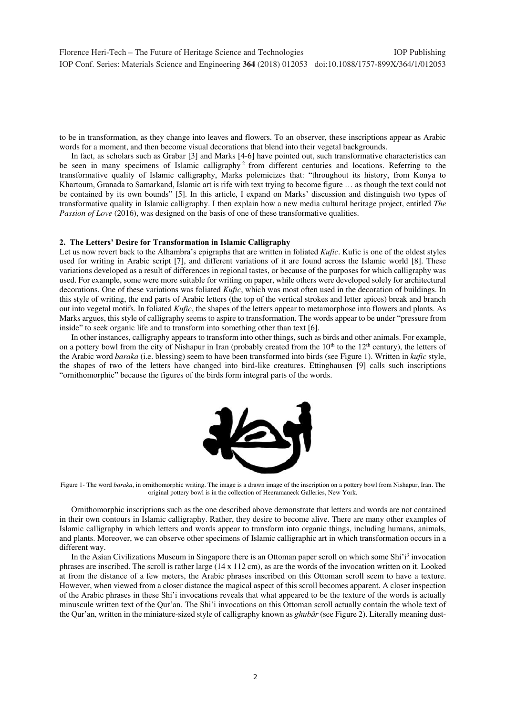to be in transformation, as they change into leaves and flowers. To an observer, these inscriptions appear as Arabic words for a moment, and then become visual decorations that blend into their vegetal backgrounds.

In fact, as scholars such as Grabar [3] and Marks [4-6] have pointed out, such transformative characteristics can be seen in many specimens of Islamic calligraphy<sup>2</sup> from different centuries and locations. Referring to the transformative quality of Islamic calligraphy, Marks polemicizes that: "throughout its history, from Konya to Khartoum, Granada to Samarkand, Islamic art is rife with text trying to become figure … as though the text could not be contained by its own bounds" [5]. In this article, I expand on Marks' discussion and distinguish two types of transformative quality in Islamic calligraphy. I then explain how a new media cultural heritage project, entitled *The Passion of Love* (2016), was designed on the basis of one of these transformative qualities.

#### **2. The Letters' Desire for Transformation in Islamic Calligraphy**

Let us now revert back to the Alhambra's epigraphs that are written in foliated *Kufic*. Kufic is one of the oldest styles used for writing in Arabic script [7], and different variations of it are found across the Islamic world [8]. These variations developed as a result of differences in regional tastes, or because of the purposes for which calligraphy was used. For example, some were more suitable for writing on paper, while others were developed solely for architectural decorations. One of these variations was foliated *Kufic*, which was most often used in the decoration of buildings. In this style of writing, the end parts of Arabic letters (the top of the vertical strokes and letter apices) break and branch out into vegetal motifs. In foliated *Kufic*, the shapes of the letters appear to metamorphose into flowers and plants. As Marks argues, this style of calligraphy seems to aspire to transformation. The words appear to be under "pressure from inside" to seek organic life and to transform into something other than text [6].

In other instances, calligraphy appears to transform into other things, such as birds and other animals. For example, on a pottery bowl from the city of Nishapur in Iran (probably created from the  $10<sup>th</sup>$  to the  $12<sup>th</sup>$  century), the letters of the Arabic word *baraka* (i.e. blessing) seem to have been transformed into birds (see Figure 1). Written in *kufic* style, the shapes of two of the letters have changed into bird-like creatures. Ettinghausen [9] calls such inscriptions "ornithomorphic" because the figures of the birds form integral parts of the words.



Figure 1- The word *baraka*, in ornithomorphic writing. The image is a drawn image of the inscription on a pottery bowl from Nishapur, Iran. The original pottery bowl is in the collection of Heeramaneck Galleries, New York.

Ornithomorphic inscriptions such as the one described above demonstrate that letters and words are not contained in their own contours in Islamic calligraphy. Rather, they desire to become alive. There are many other examples of Islamic calligraphy in which letters and words appear to transform into organic things, including humans, animals, and plants. Moreover, we can observe other specimens of Islamic calligraphic art in which transformation occurs in a different way.

In the Asian Civilizations Museum in Singapore there is an Ottoman paper scroll on which some Shi'i<sup>3</sup> invocation phrases are inscribed. The scroll is rather large (14 x 112 cm), as are the words of the invocation written on it. Looked at from the distance of a few meters, the Arabic phrases inscribed on this Ottoman scroll seem to have a texture. However, when viewed from a closer distance the magical aspect of this scroll becomes apparent. A closer inspection of the Arabic phrases in these Shi'i invocations reveals that what appeared to be the texture of the words is actually minuscule written text of the Qur'an. The Shi'i invocations on this Ottoman scroll actually contain the whole text of the Qur'an, written in the miniature-sized style of calligraphy known as *ghubār* (see Figure 2). Literally meaning dust-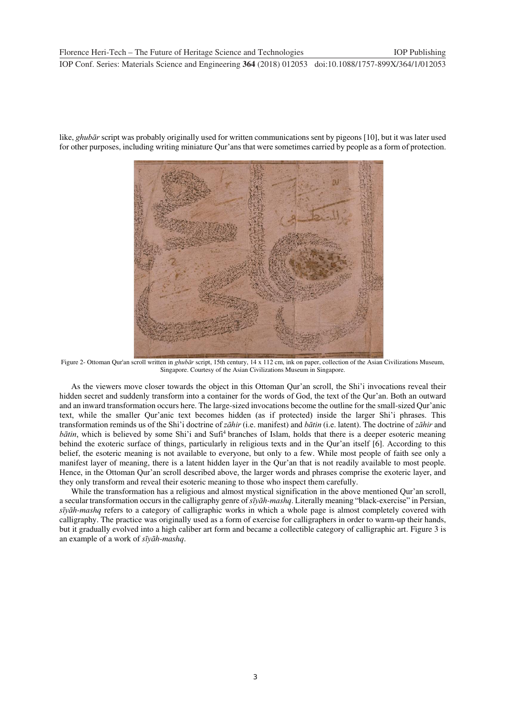

like, *ghubār* script was probably originally used for written communications sent by pigeons [10], but it was later used for other purposes, including writing miniature Qur'ans that were sometimes carried by people as a form of protection.

Figure 2- Ottoman Qur'an scroll written in *ghubār* script, 15th century, 14 x 112 cm, ink on paper, collection of the Asian Civilizations Museum, Singapore. Courtesy of the Asian Civilizations Museum in Singapore.

As the viewers move closer towards the object in this Ottoman Qur'an scroll, the Shi'i invocations reveal their hidden secret and suddenly transform into a container for the words of God, the text of the Qur'an. Both an outward and an inward transformation occurs here. The large-sized invocations become the outline for the small-sized Qur'anic text, while the smaller Qur'anic text becomes hidden (as if protected) inside the larger Shi'i phrases. This transformation reminds us of the Shi'i doctrine of *zāhir* (i.e. manifest) and *bātin* (i.e. latent). The doctrine of *zāhir* and *bātin*, which is believed by some Shi'i and Sufi<sup>4</sup> branches of Islam, holds that there is a deeper esoteric meaning<br>behind the exoteric surface of things, particularly in religious texts and in the Our'an itself [6]. Acc behind the exoteric surface of things, particularly in religious texts and in the Qur'an itself [6]. According to this belief, the esoteric meaning is not available to everyone, but only to a few. While most people of faith see only a manifest layer of meaning, there is a latent hidden layer in the Qur'an that is not readily available to most people. Hence, in the Ottoman Qur'an scroll described above, the larger words and phrases comprise the exoteric layer, and they only transform and reveal their esoteric meaning to those who inspect them carefully.

While the transformation has a religious and almost mystical signification in the above mentioned Qur'an scroll, a secular transformation occurs in the calligraphy genre of *sīyāh-mashq*. Literally meaning "black-exercise" in Persian, *sīyāh-mashq* refers to a category of calligraphic works in which a whole page is almost completely covered with calligraphy. The practice was originally used as a form of exercise for calligraphers in order to warm-up their hands, but it gradually evolved into a high caliber art form and became a collectible category of calligraphic art. Figure 3 is an example of a work of *sīyāh-mashq*.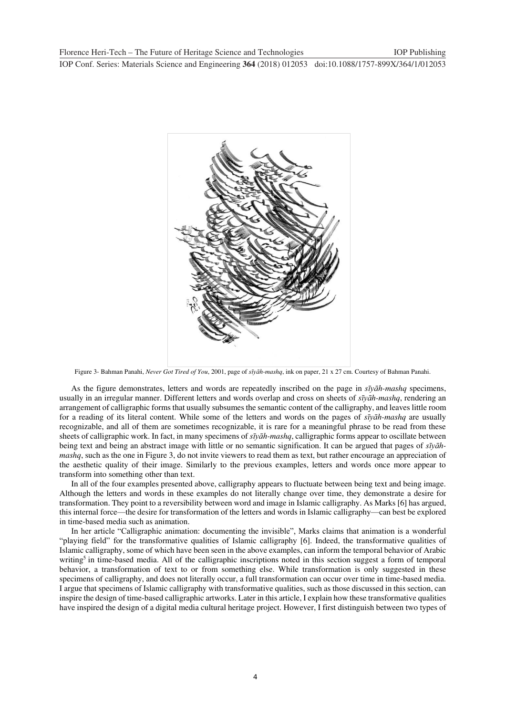

Figure 3- Bahman Panahi, *Never Got Tired of You*, 2001, page of *sīyāh-mashq*, ink on paper, 21 x 27 cm. Courtesy of Bahman Panahi.

As the figure demonstrates, letters and words are repeatedly inscribed on the page in *sīyāh-mashq* specimens, usually in an irregular manner. Different letters and words overlap and cross on sheets of *sīyāh-mashq*, rendering an arrangement of calligraphic forms that usually subsumes the semantic content of the calligraphy, and leaves little room for a reading of its literal content. While some of the letters and words on the pages of *sīyāh-mashq* are usually recognizable, and all of them are sometimes recognizable, it is rare for a meaningful phrase to be read from these sheets of calligraphic work. In fact, in many specimens of *sīyāh-mashq*, calligraphic forms appear to oscillate between being text and being an abstract image with little or no semantic signification. It can be argued that pages of *sīyāhmashq*, such as the one in Figure 3, do not invite viewers to read them as text, but rather encourage an appreciation of the aesthetic quality of their image. Similarly to the previous examples, letters and words once more appear to transform into something other than text.

In all of the four examples presented above, calligraphy appears to fluctuate between being text and being image. Although the letters and words in these examples do not literally change over time, they demonstrate a desire for transformation. They point to a reversibility between word and image in Islamic calligraphy. As Marks [6] has argued, this internal force—the desire for transformation of the letters and words in Islamic calligraphy—can best be explored in time-based media such as animation.

In her article "Calligraphic animation: documenting the invisible", Marks claims that animation is a wonderful "playing field" for the transformative qualities of Islamic calligraphy [6]. Indeed, the transformative qualities of Islamic calligraphy, some of which have been seen in the above examples, can inform the temporal behavior of Arabic writing<sup>5</sup> in time-based media. All of the calligraphic inscriptions noted in this section suggest a form of temporal behavior, a transformation of text to or from something else. While transformation is only suggested in these specimens of calligraphy, and does not literally occur, a full transformation can occur over time in time-based media. I argue that specimens of Islamic calligraphy with transformative qualities, such as those discussed in this section, can inspire the design of time-based calligraphic artworks. Later in this article, I explain how these transformative qualities have inspired the design of a digital media cultural heritage project. However, I first distinguish between two types of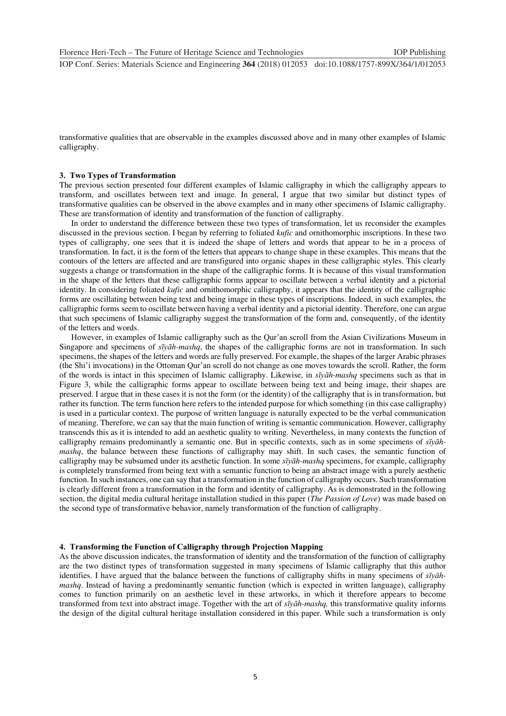transformative qualities that are observable in the examples discussed above and in many other examples of Islamic calligraphy.

#### **3. Two Types of Transformation**

The previous section presented four different examples of Islamic calligraphy in which the calligraphy appears to transform, and oscillates between text and image. In general, I argue that two similar but distinct types of transformative qualities can be observed in the above examples and in many other specimens of Islamic calligraphy. These are transformation of identity and transformation of the function of calligraphy.

In order to understand the difference between these two types of transformation, let us reconsider the examples discussed in the previous section. I began by referring to foliated *kufic* and ornithomorphic inscriptions. In these two types of calligraphy, one sees that it is indeed the shape of letters and words that appear to be in a process of transformation. In fact, it is the form of the letters that appears to change shape in these examples. This means that the contours of the letters are affected and are transfigured into organic shapes in these calligraphic styles. This clearly suggests a change or transformation in the shape of the calligraphic forms. It is because of this visual transformation in the shape of the letters that these calligraphic forms appear to oscillate between a verbal identity and a pictorial identity. In considering foliated *kufic* and ornithomorphic calligraphy, it appears that the identity of the calligraphic forms are oscillating between being text and being image in these types of inscriptions. Indeed, in such examples, the calligraphic forms seem to oscillate between having a verbal identity and a pictorial identity. Therefore, one can argue that such specimens of Islamic calligraphy suggest the transformation of the form and, consequently, of the identity of the letters and words.

However, in examples of Islamic calligraphy such as the Qur'an scroll from the Asian Civilizations Museum in Singapore and specimens of *sīyāh-mashq*, the shapes of the calligraphic forms are not in transformation. In such specimens, the shapes of the letters and words are fully preserved. For example, the shapes of the larger Arabic phrases (the Shi'i invocations) in the Ottoman Qur'an scroll do not change as one moves towards the scroll. Rather, the form of the words is intact in this specimen of Islamic calligraphy. Likewise, in *sīyāh-mashq* specimens such as that in Figure 3, while the calligraphic forms appear to oscillate between being text and being image, their shapes are preserved. I argue that in these cases it is not the form (or the identity) of the calligraphy that is in transformation, but rather its function. The term function here refers to the intended purpose for which something (in this case calligraphy) is used in a particular context. The purpose of written language is naturally expected to be the verbal communication of meaning. Therefore, we can say that the main function of writing is semantic communication. However, calligraphy transcends this as it is intended to add an aesthetic quality to writing. Nevertheless, in many contexts the function of calligraphy remains predominantly a semantic one. But in specific contexts, such as in some specimens of *sīyāhmashq*, the balance between these functions of calligraphy may shift. In such cases, the semantic function of calligraphy may be subsumed under its aesthetic function. In some *sīyāh-mashq* specimens, for example, calligraphy is completely transformed from being text with a semantic function to being an abstract image with a purely aesthetic function. In such instances, one can say that a transformation in the function of calligraphy occurs. Such transformation is clearly different from a transformation in the form and identity of calligraphy. As is demonstrated in the following section, the digital media cultural heritage installation studied in this paper (*The Passion of Love*) was made based on the second type of transformative behavior, namely transformation of the function of calligraphy.

#### **4. Transforming the Function of Calligraphy through Projection Mapping**

As the above discussion indicates, the transformation of identity and the transformation of the function of calligraphy are the two distinct types of transformation suggested in many specimens of Islamic calligraphy that this author identifies. I have argued that the balance between the functions of calligraphy shifts in many specimens of *sīyāhmashq*. Instead of having a predominantly semantic function (which is expected in written language), calligraphy comes to function primarily on an aesthetic level in these artworks, in which it therefore appears to become transformed from text into abstract image. Together with the art of *sīyāh-mashq,* this transformative quality informs the design of the digital cultural heritage installation considered in this paper. While such a transformation is only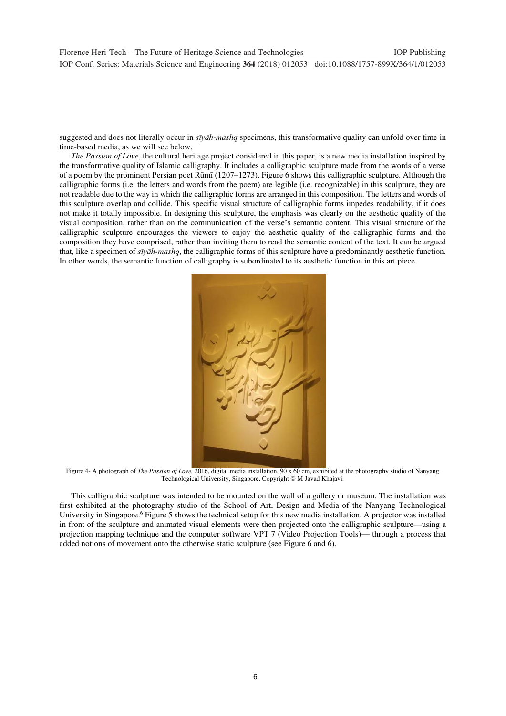suggested and does not literally occur in *sīyāh-mashq* specimens, this transformative quality can unfold over time in time-based media, as we will see below.

*The Passion of Love*, the cultural heritage project considered in this paper, is a new media installation inspired by the transformative quality of Islamic calligraphy. It includes a calligraphic sculpture made from the words of a verse of a poem by the prominent Persian poet Rūmī (1207–1273). Figure 6 shows this calligraphic sculpture. Although the calligraphic forms (i.e. the letters and words from the poem) are legible (i.e. recognizable) in this sculpture, they are not readable due to the way in which the calligraphic forms are arranged in this composition. The letters and words of this sculpture overlap and collide. This specific visual structure of calligraphic forms impedes readability, if it does not make it totally impossible. In designing this sculpture, the emphasis was clearly on the aesthetic quality of the visual composition, rather than on the communication of the verse's semantic content. This visual structure of the calligraphic sculpture encourages the viewers to enjoy the aesthetic quality of the calligraphic forms and the composition they have comprised, rather than inviting them to read the semantic content of the text. It can be argued that, like a specimen of *sīyāh-mashq*, the calligraphic forms of this sculpture have a predominantly aesthetic function. In other words, the semantic function of calligraphy is subordinated to its aesthetic function in this art piece.



Figure 4- A photograph of *The Passion of Love,* 2016, digital media installation, 90 x 60 cm, exhibited at the photography studio of Nanyang Technological University, Singapore. Copyright © M Javad Khajavi.

This calligraphic sculpture was intended to be mounted on the wall of a gallery or museum. The installation was first exhibited at the photography studio of the School of Art, Design and Media of the Nanyang Technological University in Singapore.<sup>6</sup> Figure 5 shows the technical setup for this new media installation. A projector was installed in front of the sculpture and animated visual elements were then projected onto the calligraphic sculpture—using a projection mapping technique and the computer software VPT 7 (Video Projection Tools)— through a process that added notions of movement onto the otherwise static sculpture (see Figure 6 and 6).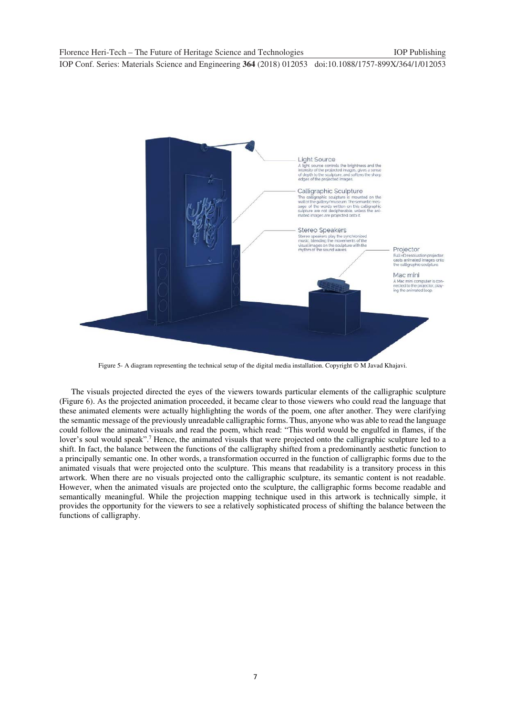

Figure 5- A diagram representing the technical setup of the digital media installation. Copyright © M Javad Khajavi.

The visuals projected directed the eyes of the viewers towards particular elements of the calligraphic sculpture (Figure 6). As the projected animation proceeded, it became clear to those viewers who could read the language that these animated elements were actually highlighting the words of the poem, one after another. They were clarifying the semantic message of the previously unreadable calligraphic forms. Thus, anyone who was able to read the language could follow the animated visuals and read the poem, which read: "This world would be engulfed in flames, if the lover's soul would speak".<sup>7</sup> Hence, the animated visuals that were projected onto the calligraphic sculpture led to a shift. In fact, the balance between the functions of the calligraphy shifted from a predominantly aesthetic function to a principally semantic one. In other words, a transformation occurred in the function of calligraphic forms due to the animated visuals that were projected onto the sculpture. This means that readability is a transitory process in this artwork. When there are no visuals projected onto the calligraphic sculpture, its semantic content is not readable. However, when the animated visuals are projected onto the sculpture, the calligraphic forms become readable and semantically meaningful. While the projection mapping technique used in this artwork is technically simple, it provides the opportunity for the viewers to see a relatively sophisticated process of shifting the balance between the functions of calligraphy.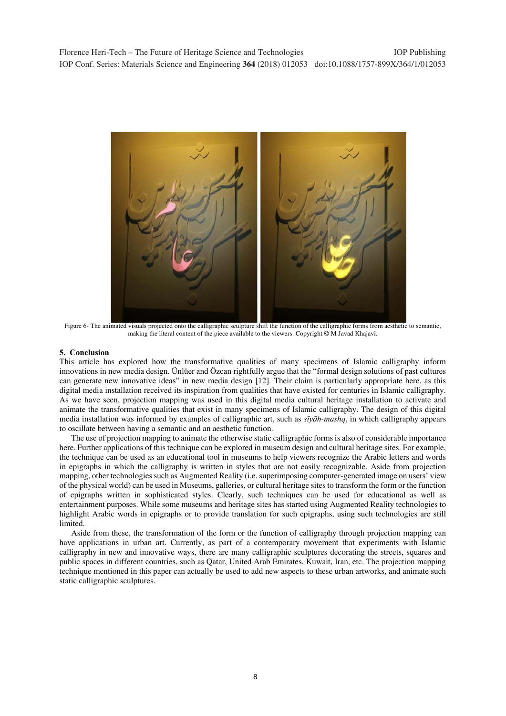

Figure 6- The animated visuals projected onto the calligraphic sculpture shift the function of the calligraphic forms from aesthetic to semantic, making the literal content of the piece available to the viewers. Copyright © M Javad Khajavi.

#### **5. Conclusion**

This article has explored how the transformative qualities of many specimens of Islamic calligraphy inform innovations in new media design. Ünlüer and Özcan rightfully argue that the "formal design solutions of past cultures can generate new innovative ideas" in new media design [12]. Their claim is particularly appropriate here, as this digital media installation received its inspiration from qualities that have existed for centuries in Islamic calligraphy. As we have seen, projection mapping was used in this digital media cultural heritage installation to activate and animate the transformative qualities that exist in many specimens of Islamic calligraphy. The design of this digital media installation was informed by examples of calligraphic art, such as *sīyāh-mashq*, in which calligraphy appears to oscillate between having a semantic and an aesthetic function.

The use of projection mapping to animate the otherwise static calligraphic forms is also of considerable importance here. Further applications of this technique can be explored in museum design and cultural heritage sites. For example, the technique can be used as an educational tool in museums to help viewers recognize the Arabic letters and words in epigraphs in which the calligraphy is written in styles that are not easily recognizable. Aside from projection mapping, other technologies such as Augmented Reality (i.e. superimposing computer-generated image on users' view of the physical world) can be used in Museums, galleries, or cultural heritage sites to transform the form or the function of epigraphs written in sophisticated styles. Clearly, such techniques can be used for educational as well as entertainment purposes. While some museums and heritage sites has started using Augmented Reality technologies to highlight Arabic words in epigraphs or to provide translation for such epigraphs, using such technologies are still limited.

Aside from these, the transformation of the form or the function of calligraphy through projection mapping can have applications in urban art. Currently, as part of a contemporary movement that experiments with Islamic calligraphy in new and innovative ways, there are many calligraphic sculptures decorating the streets, squares and public spaces in different countries, such as Qatar, United Arab Emirates, Kuwait, Iran, etc. The projection mapping technique mentioned in this paper can actually be used to add new aspects to these urban artworks, and animate such static calligraphic sculptures.